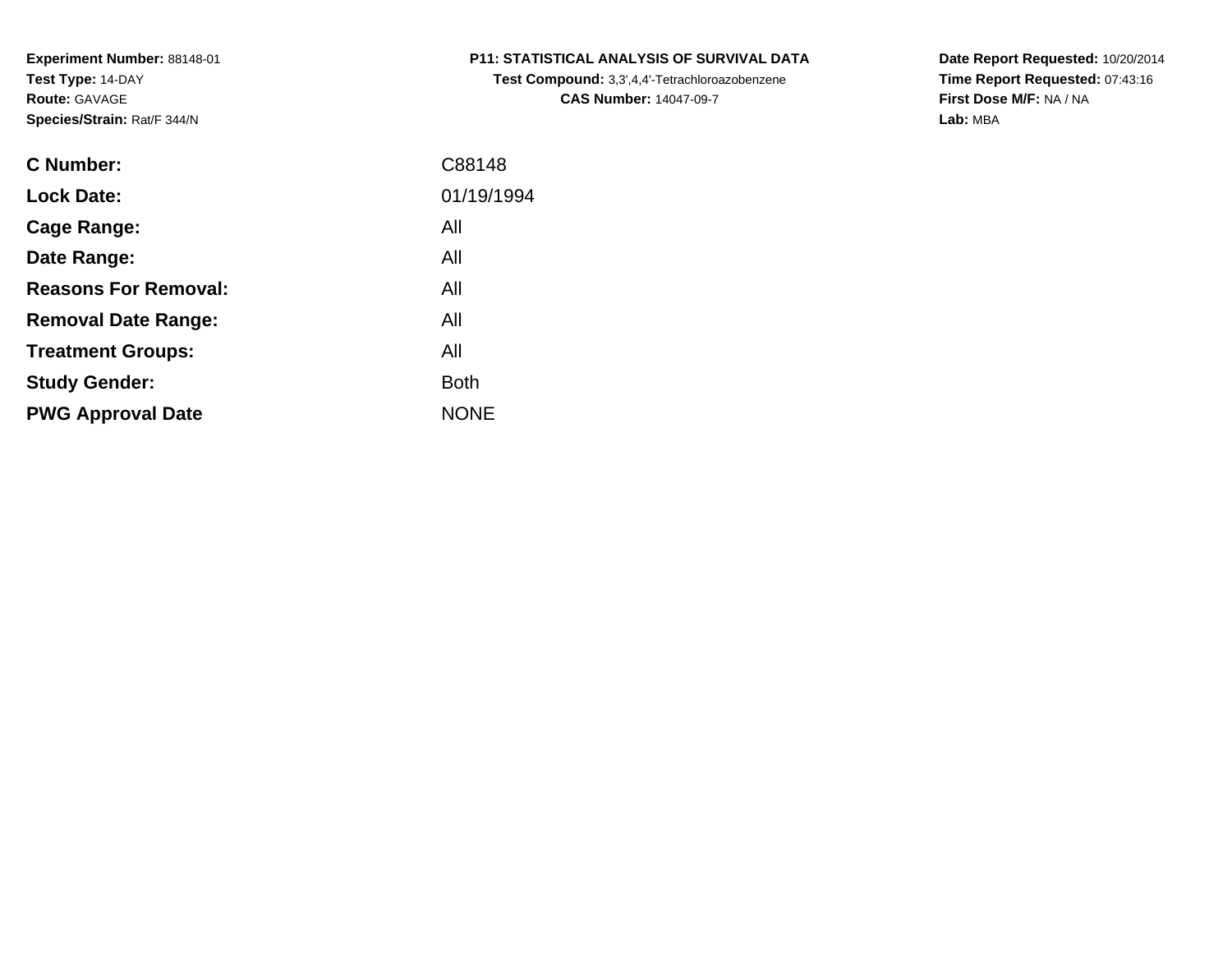**Study Gender:**

**PWG Approval Date**

| C Number:                   | C88148     |
|-----------------------------|------------|
| <b>Lock Date:</b>           | 01/19/1994 |
| Cage Range:                 | All        |
| Date Range:                 | All        |
| <b>Reasons For Removal:</b> | All        |
| <b>Removal Date Range:</b>  | All        |
| <b>Treatment Groups:</b>    | All        |

All

NONE

**Example 1** South 2 and 2 and 2 and 2 and 2 and 2 and 2 and 2 and 2 and 2 and 2 and 2 and 2 and 2 and 2 and 2 an

**P11: STATISTICAL ANALYSIS OF SURVIVAL DATA**

**Test Compound:** 3,3',4,4'-Tetrachloroazobenzene**CAS Number:** 14047-09-7

**Date Report Requested:** 10/20/2014**Time Report Requested:** 07:43:16**First Dose M/F:** NA / NA**Lab:** MBA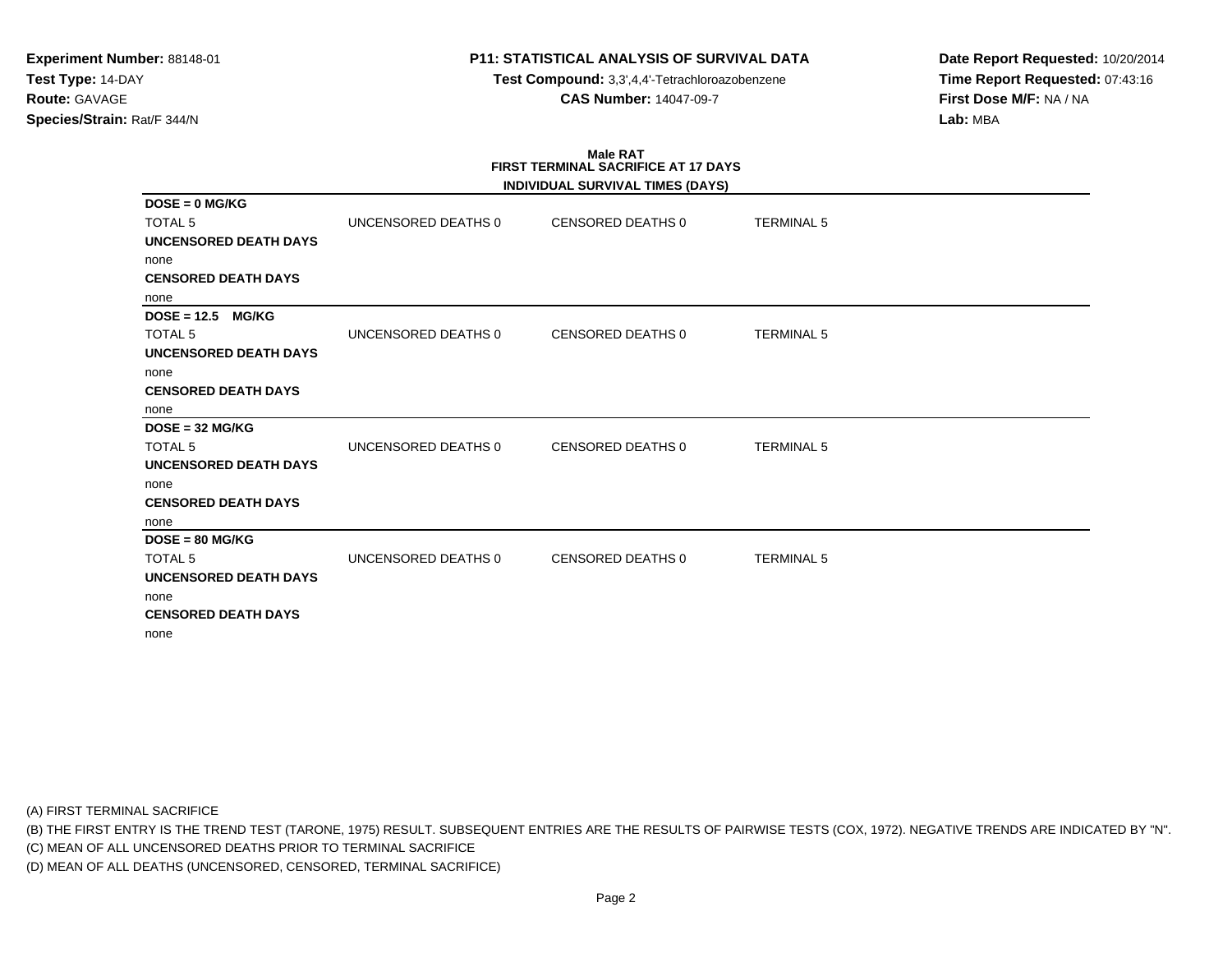**Test Compound:** 3,3',4,4'-Tetrachloroazobenzene**CAS Number:** 14047-09-7

**Date Report Requested:** 10/20/2014**Time Report Requested:** 07:43:16**First Dose M/F:** NA / NA**Lab:** MBA

# **Male RATFIRST TERMINAL SACRIFICE AT 17 DAYS**

|                               |                     | INDIVIDUAL SURVIVAL TIMES (DAYS) |                   |  |
|-------------------------------|---------------------|----------------------------------|-------------------|--|
| $DOSE = 0$ MG/KG              |                     |                                  |                   |  |
| <b>TOTAL 5</b>                | UNCENSORED DEATHS 0 | CENSORED DEATHS 0                | <b>TERMINAL 5</b> |  |
| <b>UNCENSORED DEATH DAYS</b>  |                     |                                  |                   |  |
| none                          |                     |                                  |                   |  |
| <b>CENSORED DEATH DAYS</b>    |                     |                                  |                   |  |
| none                          |                     |                                  |                   |  |
| $DOSE = 12.5$<br><b>MG/KG</b> |                     |                                  |                   |  |
| <b>TOTAL 5</b>                | UNCENSORED DEATHS 0 | <b>CENSORED DEATHS 0</b>         | <b>TERMINAL 5</b> |  |
| <b>UNCENSORED DEATH DAYS</b>  |                     |                                  |                   |  |
| none                          |                     |                                  |                   |  |
| <b>CENSORED DEATH DAYS</b>    |                     |                                  |                   |  |
| none                          |                     |                                  |                   |  |
| $DOSE = 32 MGIKG$             |                     |                                  |                   |  |
| <b>TOTAL 5</b>                | UNCENSORED DEATHS 0 | <b>CENSORED DEATHS 0</b>         | <b>TERMINAL 5</b> |  |
| <b>UNCENSORED DEATH DAYS</b>  |                     |                                  |                   |  |
| none                          |                     |                                  |                   |  |
| <b>CENSORED DEATH DAYS</b>    |                     |                                  |                   |  |
| none                          |                     |                                  |                   |  |
| $DOSE = 80 MG/KG$             |                     |                                  |                   |  |
| <b>TOTAL 5</b>                | UNCENSORED DEATHS 0 | <b>CENSORED DEATHS 0</b>         | <b>TERMINAL 5</b> |  |
| <b>UNCENSORED DEATH DAYS</b>  |                     |                                  |                   |  |
| none                          |                     |                                  |                   |  |
| <b>CENSORED DEATH DAYS</b>    |                     |                                  |                   |  |
| none                          |                     |                                  |                   |  |

(A) FIRST TERMINAL SACRIFICE

(B) THE FIRST ENTRY IS THE TREND TEST (TARONE, 1975) RESULT. SUBSEQUENT ENTRIES ARE THE RESULTS OF PAIRWISE TESTS (COX, 1972). NEGATIVE TRENDS ARE INDICATED BY "N".

(C) MEAN OF ALL UNCENSORED DEATHS PRIOR TO TERMINAL SACRIFICE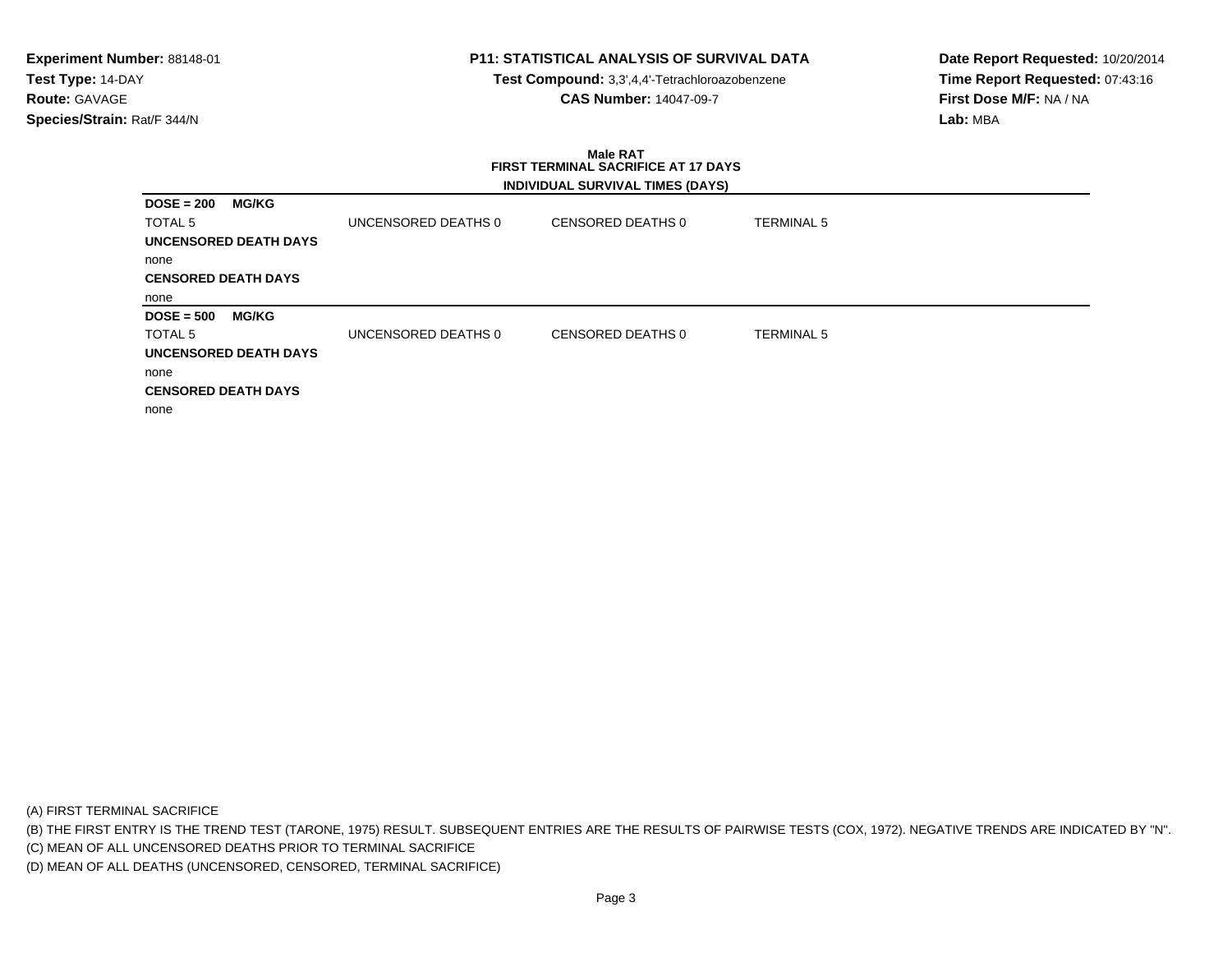**Test Compound:** 3,3',4,4'-Tetrachloroazobenzene**CAS Number:** 14047-09-7

**Date Report Requested:** 10/20/2014**Time Report Requested:** 07:43:16**First Dose M/F:** NA / NA**Lab:** MBA

#### **Male RAT FIRST TERMINAL SACRIFICE AT 17 DAYSINDIVIDUAL SURVIVAL TIMES (DAYS)**

| $DOSE = 200$               | <b>MG/KG</b>                 |                     |                   |                   |
|----------------------------|------------------------------|---------------------|-------------------|-------------------|
| <b>TOTAL 5</b>             |                              | UNCENSORED DEATHS 0 | CENSORED DEATHS 0 | <b>TERMINAL 5</b> |
|                            | <b>UNCENSORED DEATH DAYS</b> |                     |                   |                   |
| none                       |                              |                     |                   |                   |
| <b>CENSORED DEATH DAYS</b> |                              |                     |                   |                   |
| none                       |                              |                     |                   |                   |
| $DOSE = 500$               | <b>MG/KG</b>                 |                     |                   |                   |
| TOTAL 5                    |                              | UNCENSORED DEATHS 0 | CENSORED DEATHS 0 | <b>TERMINAL 5</b> |
|                            | <b>UNCENSORED DEATH DAYS</b> |                     |                   |                   |
| none                       |                              |                     |                   |                   |
| <b>CENSORED DEATH DAYS</b> |                              |                     |                   |                   |
| none                       |                              |                     |                   |                   |

(A) FIRST TERMINAL SACRIFICE

(B) THE FIRST ENTRY IS THE TREND TEST (TARONE, 1975) RESULT. SUBSEQUENT ENTRIES ARE THE RESULTS OF PAIRWISE TESTS (COX, 1972). NEGATIVE TRENDS ARE INDICATED BY "N".

(C) MEAN OF ALL UNCENSORED DEATHS PRIOR TO TERMINAL SACRIFICE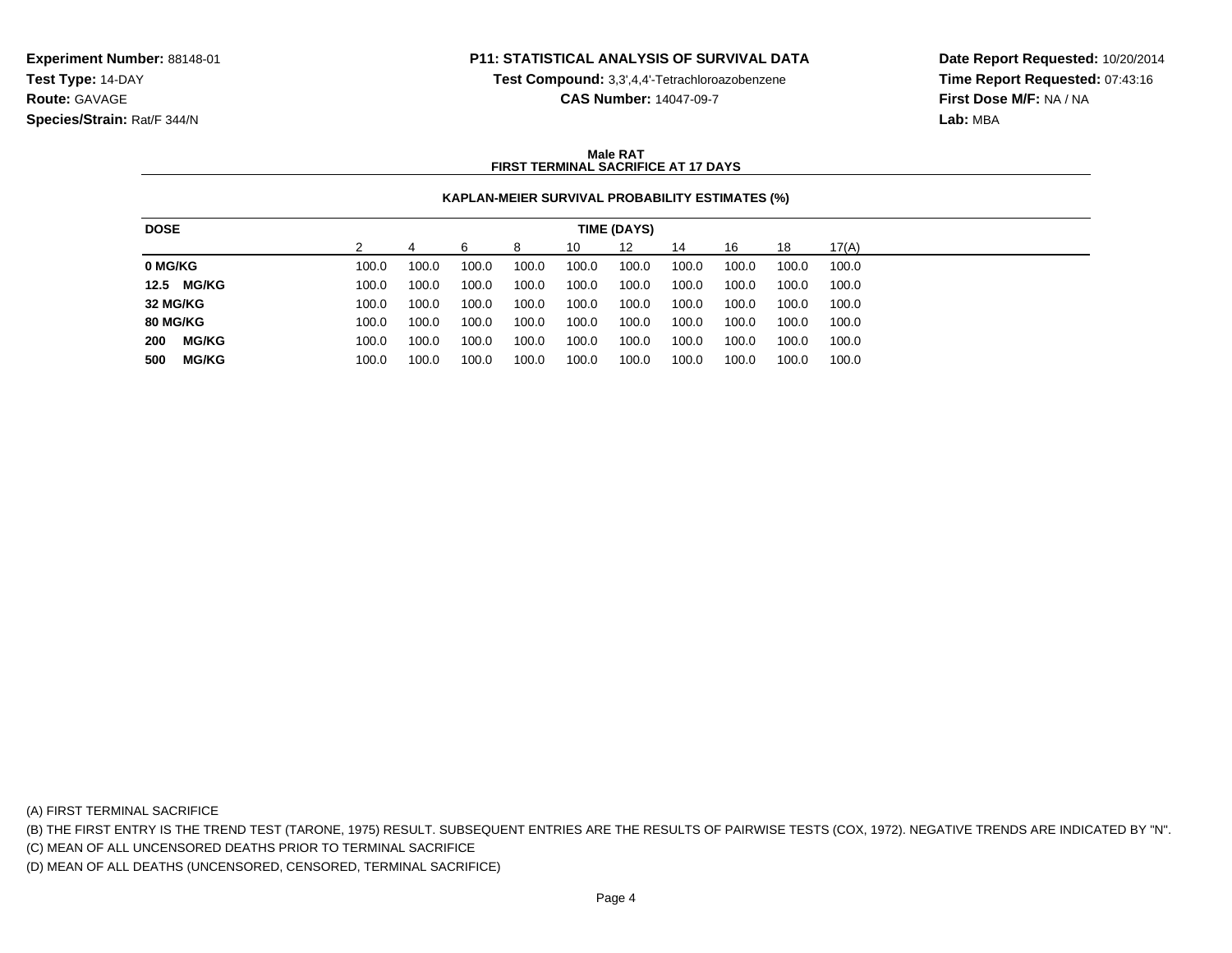**Test Compound:** 3,3',4,4'-Tetrachloroazobenzene

**CAS Number:** 14047-09-7

**Date Report Requested:** 10/20/2014**Time Report Requested:** 07:43:16**First Dose M/F:** NA / NA**Lab:** MBA

### **Male RATFIRST TERMINAL SACRIFICE AT 17 DAYS**

## **KAPLAN-MEIER SURVIVAL PROBABILITY ESTIMATES (%)**

| <b>DOSE</b>     |              |       |       |       |       |       | TIME (DAYS) |       |       |       |       |
|-----------------|--------------|-------|-------|-------|-------|-------|-------------|-------|-------|-------|-------|
|                 |              |       |       | ิค    | 8     | 10    | 12          | 14    | 16    | 18    | 17(A) |
| 0 MG/KG         |              | 100.0 | 100.0 | 100.0 | 100.0 | 100.0 | 100.0       | 100.0 | 100.0 | 100.0 | 100.0 |
|                 | 12.5 MG/KG   | 100.0 | 100.0 | 100.0 | 100.0 | 100.0 | 100.0       | 100.0 | 100.0 | 100.0 | 100.0 |
| 32 MG/KG        |              | 100.0 | 100.0 | 100.0 | 100.0 | 100.0 | 100.0       | 100.0 | 100.0 | 100.0 | 100.0 |
| <b>80 MG/KG</b> |              | 100.0 | 100.0 | 100.0 | 100.0 | 100.0 | 100.0       | 100.0 | 100.0 | 100.0 | 100.0 |
| 200             | <b>MG/KG</b> | 100.0 | 100.0 | 100.0 | 100.0 | 100.0 | 100.0       | 100.0 | 100.0 | 100.0 | 100.0 |
| 500             | <b>MG/KG</b> | 100.0 | 100.0 | 100.0 | 100.0 | 100.0 | 100.0       | 100.0 | 100.0 | 100.0 | 100.0 |
|                 |              |       |       |       |       |       |             |       |       |       |       |

(A) FIRST TERMINAL SACRIFICE

(B) THE FIRST ENTRY IS THE TREND TEST (TARONE, 1975) RESULT. SUBSEQUENT ENTRIES ARE THE RESULTS OF PAIRWISE TESTS (COX, 1972). NEGATIVE TRENDS ARE INDICATED BY "N".

(C) MEAN OF ALL UNCENSORED DEATHS PRIOR TO TERMINAL SACRIFICE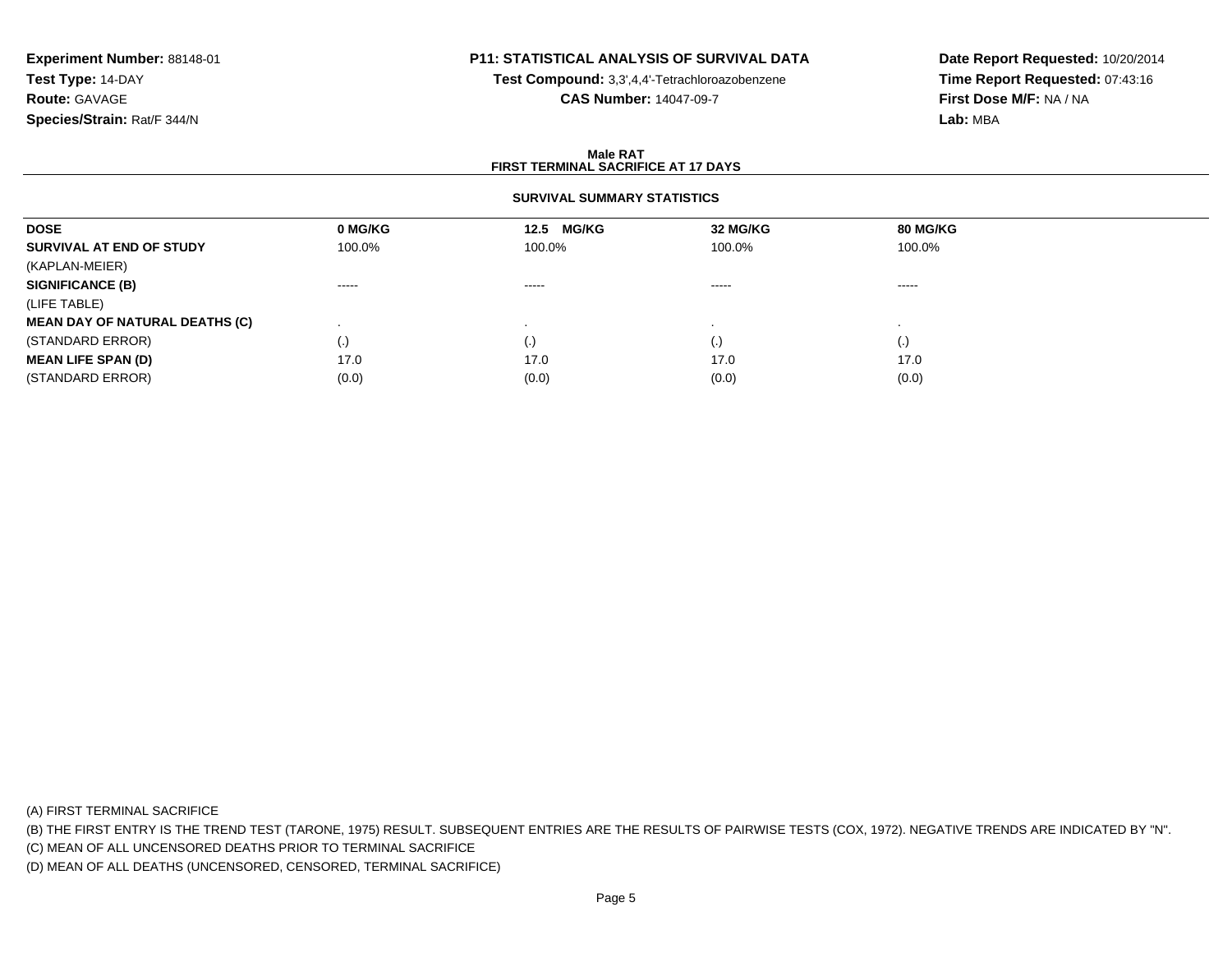# **P11: STATISTICAL ANALYSIS OF SURVIVAL DATA**

**Test Compound:** 3,3',4,4'-Tetrachloroazobenzene

**CAS Number:** 14047-09-7

**Date Report Requested:** 10/20/2014**Time Report Requested:** 07:43:16**First Dose M/F:** NA / NA**Lab:** MBA

### **Male RATFIRST TERMINAL SACRIFICE AT 17 DAYS**

## **SURVIVAL SUMMARY STATISTICS**

| 0 MG/KG                | 12.5 MG/KG | 32 MG/KG | 80 MG/KG |
|------------------------|------------|----------|----------|
| 100.0%                 | 100.0%     | 100.0%   | 100.0%   |
|                        |            |          |          |
| $\cdots \cdots \cdots$ | -----      | -----    | -----    |
|                        |            |          |          |
|                        |            |          |          |
| $\cdot$                |            | (.)      | (.)      |
| 17.0                   | 17.0       | 17.0     | 17.0     |
| (0.0)                  | (0.0)      | (0.0)    | (0.0)    |
|                        |            |          |          |

(A) FIRST TERMINAL SACRIFICE

(B) THE FIRST ENTRY IS THE TREND TEST (TARONE, 1975) RESULT. SUBSEQUENT ENTRIES ARE THE RESULTS OF PAIRWISE TESTS (COX, 1972). NEGATIVE TRENDS ARE INDICATED BY "N".

(C) MEAN OF ALL UNCENSORED DEATHS PRIOR TO TERMINAL SACRIFICE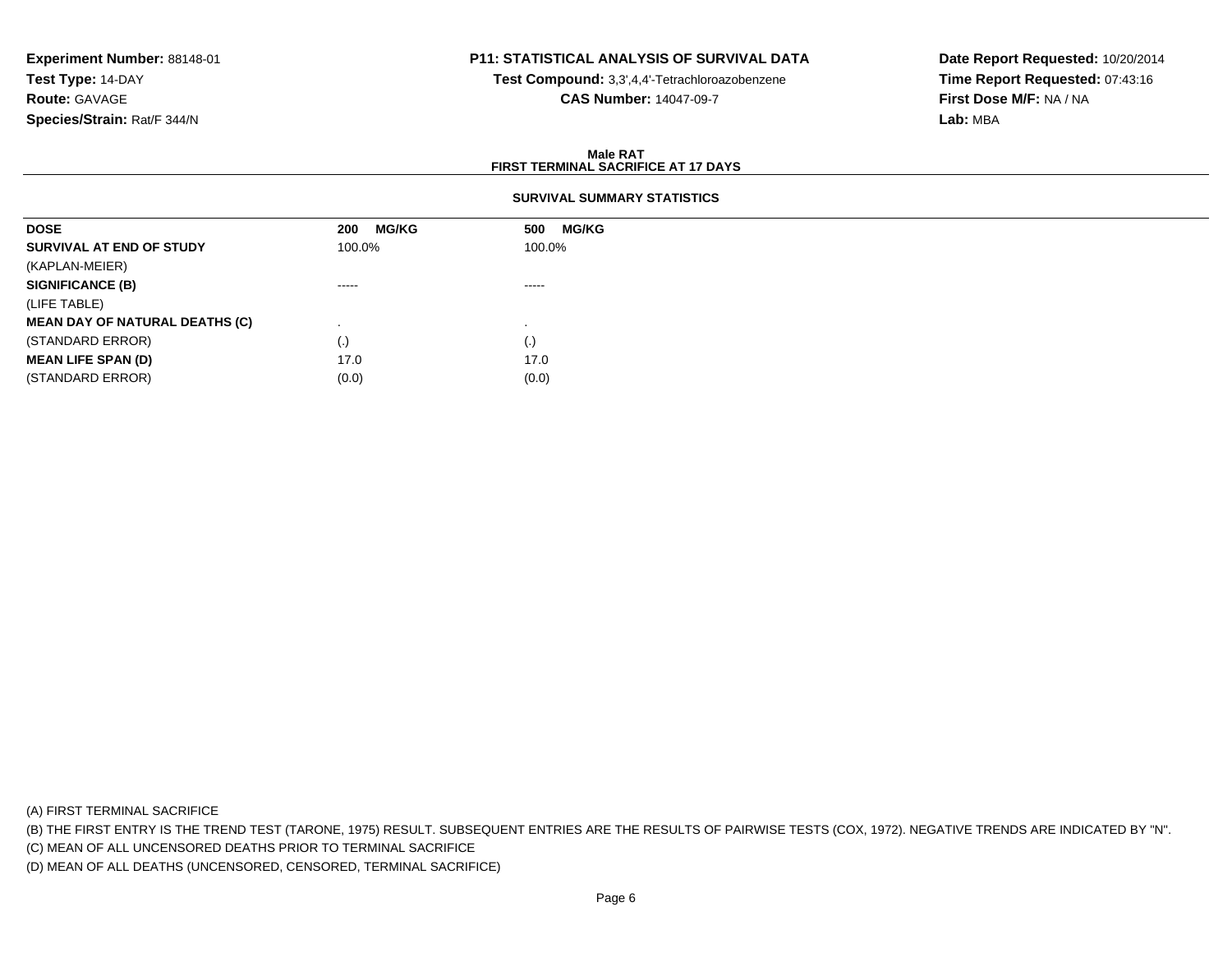# **P11: STATISTICAL ANALYSIS OF SURVIVAL DATA**

**Test Compound:** 3,3',4,4'-Tetrachloroazobenzene

**CAS Number:** 14047-09-7

**Date Report Requested:** 10/20/2014**Time Report Requested:** 07:43:16**First Dose M/F:** NA / NA**Lab:** MBA

### **Male RATFIRST TERMINAL SACRIFICE AT 17 DAYS**

### **SURVIVAL SUMMARY STATISTICS**

| <b>DOSE</b>                           | <b>MG/KG</b><br>200 | <b>MG/KG</b><br>500 |
|---------------------------------------|---------------------|---------------------|
| SURVIVAL AT END OF STUDY              | 100.0%              | 100.0%              |
| (KAPLAN-MEIER)                        |                     |                     |
| <b>SIGNIFICANCE (B)</b>               | ------              | $\cdots$            |
| (LIFE TABLE)                          |                     |                     |
| <b>MEAN DAY OF NATURAL DEATHS (C)</b> |                     |                     |
| (STANDARD ERROR)                      | (.)                 | (.)                 |
| <b>MEAN LIFE SPAN (D)</b>             | 17.0                | 17.0                |
| (STANDARD ERROR)                      | (0.0)               | (0.0)               |

(A) FIRST TERMINAL SACRIFICE

(B) THE FIRST ENTRY IS THE TREND TEST (TARONE, 1975) RESULT. SUBSEQUENT ENTRIES ARE THE RESULTS OF PAIRWISE TESTS (COX, 1972). NEGATIVE TRENDS ARE INDICATED BY "N".

(C) MEAN OF ALL UNCENSORED DEATHS PRIOR TO TERMINAL SACRIFICE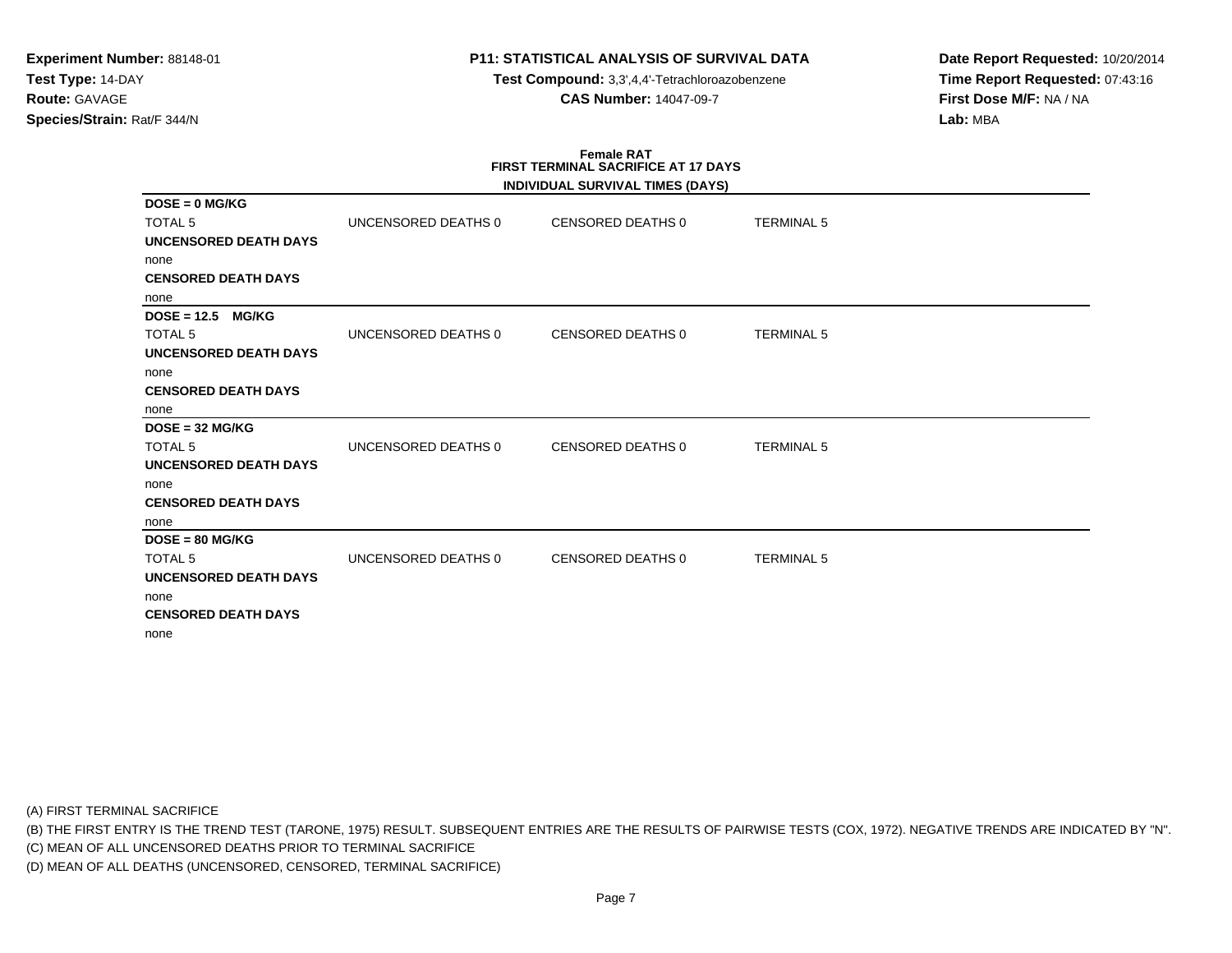**Test Compound:** 3,3',4,4'-Tetrachloroazobenzene**CAS Number:** 14047-09-7

**Date Report Requested:** 10/20/2014**Time Report Requested:** 07:43:16**First Dose M/F:** NA / NA**Lab:** MBA

# **Female RATFIRST TERMINAL SACRIFICE AT 17 DAYS**

(A) FIRST TERMINAL SACRIFICE

(B) THE FIRST ENTRY IS THE TREND TEST (TARONE, 1975) RESULT. SUBSEQUENT ENTRIES ARE THE RESULTS OF PAIRWISE TESTS (COX, 1972). NEGATIVE TRENDS ARE INDICATED BY "N".

(C) MEAN OF ALL UNCENSORED DEATHS PRIOR TO TERMINAL SACRIFICE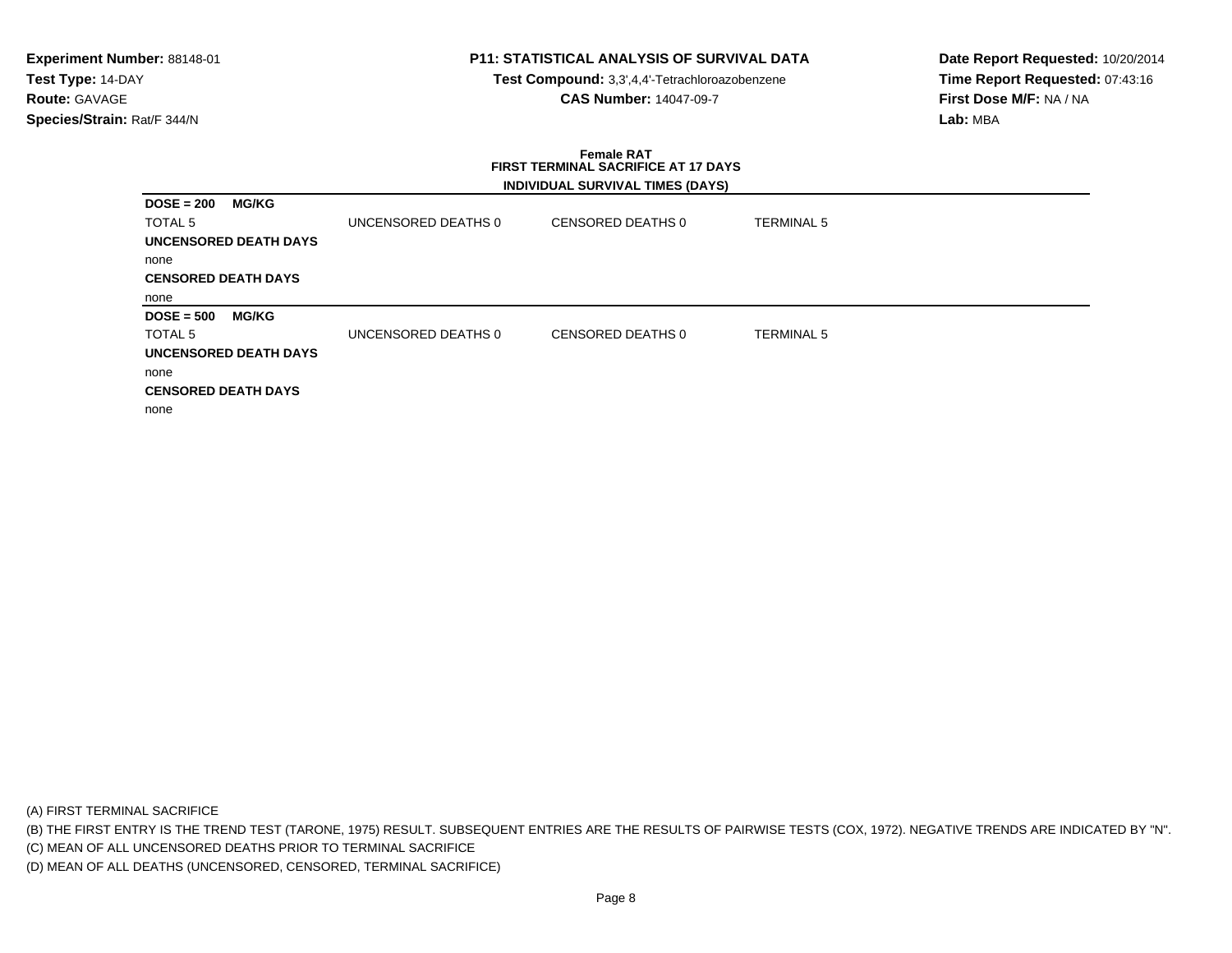**Test Compound:** 3,3',4,4'-Tetrachloroazobenzene**CAS Number:** 14047-09-7

**Date Report Requested:** 10/20/2014**Time Report Requested:** 07:43:16**First Dose M/F:** NA / NA**Lab:** MBA

## **Female RAT FIRST TERMINAL SACRIFICE AT 17 DAYSINDIVIDUAL SURVIVAL TIMES (DAYS)**

| $DOSE = 200$               | <b>MG/KG</b>                 |                     |                   |                   |
|----------------------------|------------------------------|---------------------|-------------------|-------------------|
| TOTAL 5                    |                              | UNCENSORED DEATHS 0 | CENSORED DEATHS 0 | <b>TERMINAL 5</b> |
|                            | <b>UNCENSORED DEATH DAYS</b> |                     |                   |                   |
| none                       |                              |                     |                   |                   |
| <b>CENSORED DEATH DAYS</b> |                              |                     |                   |                   |
| none                       |                              |                     |                   |                   |
| $DOSE = 500$               | <b>MG/KG</b>                 |                     |                   |                   |
| TOTAL 5                    |                              | UNCENSORED DEATHS 0 | CENSORED DEATHS 0 | <b>TERMINAL 5</b> |
|                            | <b>UNCENSORED DEATH DAYS</b> |                     |                   |                   |
| none                       |                              |                     |                   |                   |
| <b>CENSORED DEATH DAYS</b> |                              |                     |                   |                   |
| none                       |                              |                     |                   |                   |

(A) FIRST TERMINAL SACRIFICE

(B) THE FIRST ENTRY IS THE TREND TEST (TARONE, 1975) RESULT. SUBSEQUENT ENTRIES ARE THE RESULTS OF PAIRWISE TESTS (COX, 1972). NEGATIVE TRENDS ARE INDICATED BY "N".

(C) MEAN OF ALL UNCENSORED DEATHS PRIOR TO TERMINAL SACRIFICE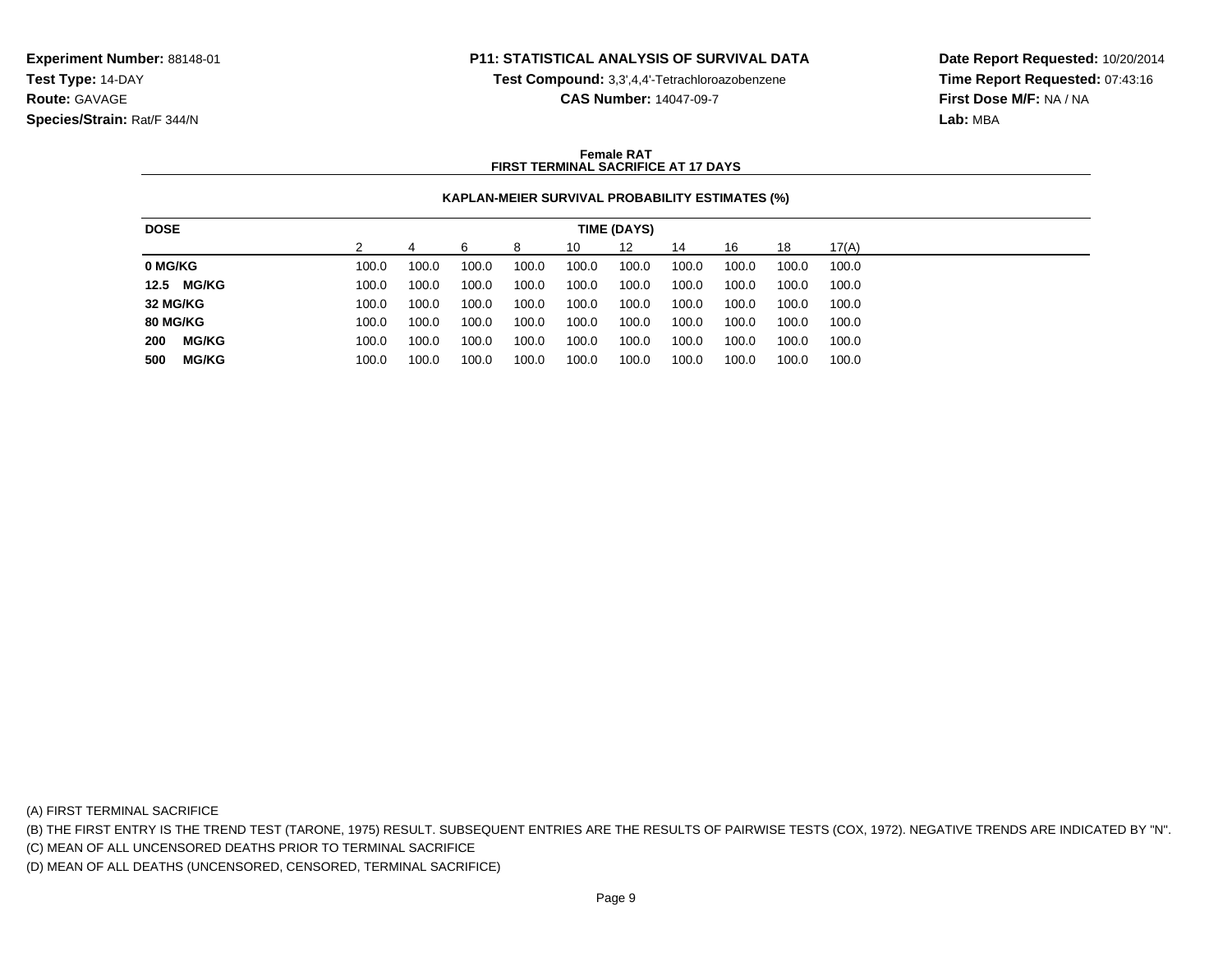**Test Compound:** 3,3',4,4'-Tetrachloroazobenzene

**CAS Number:** 14047-09-7

**Date Report Requested:** 10/20/2014**Time Report Requested:** 07:43:16**First Dose M/F:** NA / NA**Lab:** MBA

### **Female RATFIRST TERMINAL SACRIFICE AT 17 DAYS**

## **KAPLAN-MEIER SURVIVAL PROBABILITY ESTIMATES (%)**

| 17(A)<br>12<br>16<br>18<br>ี<br>10<br>14<br>8<br>100.0<br>100.0<br>100.0<br>100.0<br>100.0<br>100.0<br>100.0<br>100.0<br>100.0<br>100.0<br>100.0<br>100.0<br>100.0<br>100.0<br>100.0<br>100.0<br>100.0<br>100.0<br>100.0<br>100.0<br>100.0<br>100.0<br>100.0<br>100.0<br>100.0<br>100.0<br>100.0<br>100.0<br>100.0<br>100.0<br>100.0<br>100.0<br>100.0<br>100.0<br>100.0<br>100.0<br>100.0<br>100.0<br>100.0<br>100.0<br><b>MG/KG</b><br>100.0<br>100.0<br>100.0<br>100.0<br>100.0<br>100.0<br>100.0<br>100.0<br>100.0<br>100.0<br><b>MG/KG</b><br>100.0<br>100.0<br>100.0<br>100.0<br>100.0<br>100.0<br>100.0<br>100.0<br>100.0<br>100.0 | <b>DOSE</b> |  |  | TIME (DAYS) |  |  |
|-------------------------------------------------------------------------------------------------------------------------------------------------------------------------------------------------------------------------------------------------------------------------------------------------------------------------------------------------------------------------------------------------------------------------------------------------------------------------------------------------------------------------------------------------------------------------------------------------------------------------------------------|-------------|--|--|-------------|--|--|
| 200<br>500                                                                                                                                                                                                                                                                                                                                                                                                                                                                                                                                                                                                                                |             |  |  |             |  |  |
|                                                                                                                                                                                                                                                                                                                                                                                                                                                                                                                                                                                                                                           | 0 MG/KG     |  |  |             |  |  |
| 32 MG/KG<br><b>80 MG/KG</b>                                                                                                                                                                                                                                                                                                                                                                                                                                                                                                                                                                                                               | 12.5 MG/KG  |  |  |             |  |  |
|                                                                                                                                                                                                                                                                                                                                                                                                                                                                                                                                                                                                                                           |             |  |  |             |  |  |
|                                                                                                                                                                                                                                                                                                                                                                                                                                                                                                                                                                                                                                           |             |  |  |             |  |  |
|                                                                                                                                                                                                                                                                                                                                                                                                                                                                                                                                                                                                                                           |             |  |  |             |  |  |
|                                                                                                                                                                                                                                                                                                                                                                                                                                                                                                                                                                                                                                           |             |  |  |             |  |  |

(A) FIRST TERMINAL SACRIFICE

(B) THE FIRST ENTRY IS THE TREND TEST (TARONE, 1975) RESULT. SUBSEQUENT ENTRIES ARE THE RESULTS OF PAIRWISE TESTS (COX, 1972). NEGATIVE TRENDS ARE INDICATED BY "N".

(C) MEAN OF ALL UNCENSORED DEATHS PRIOR TO TERMINAL SACRIFICE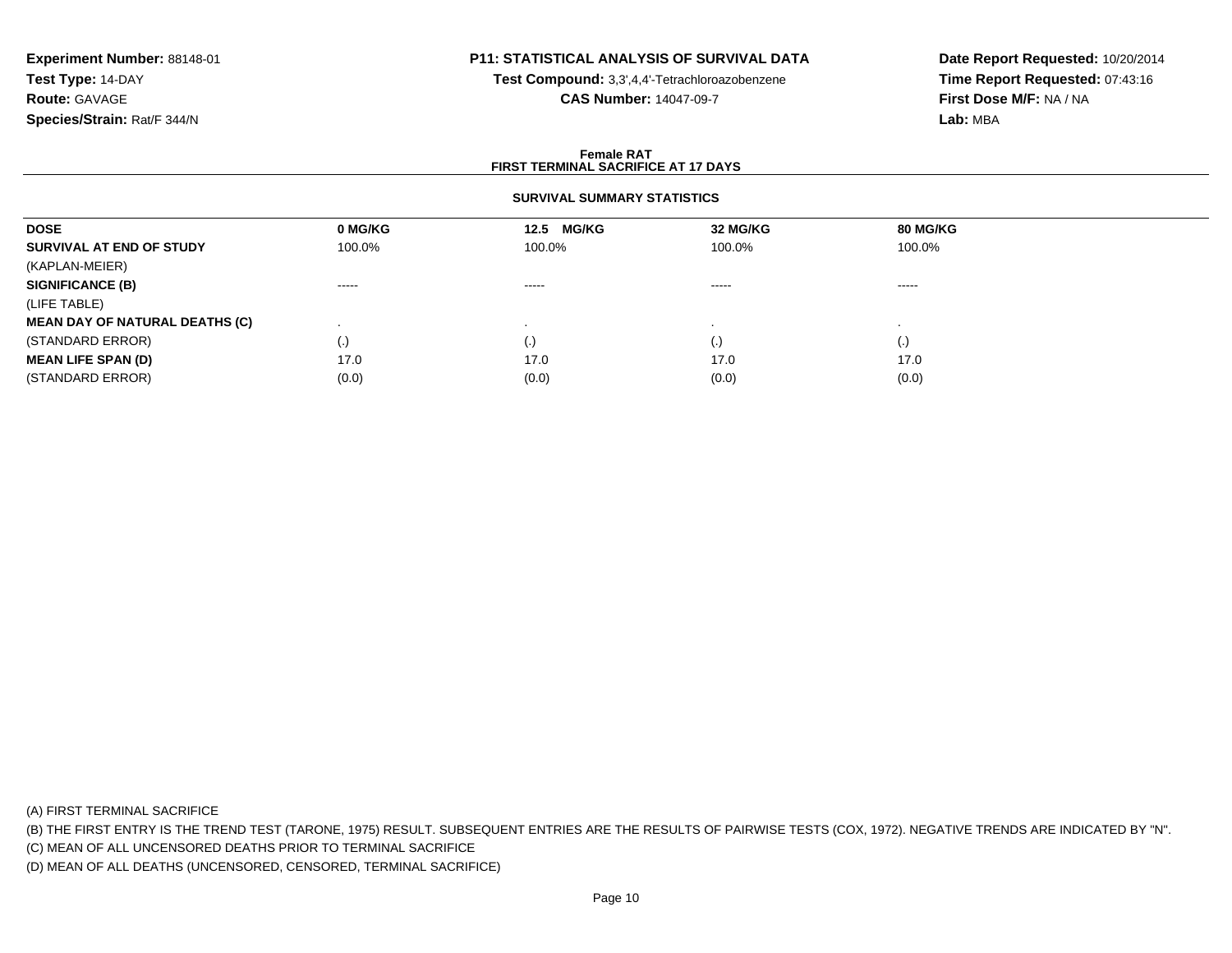# **P11: STATISTICAL ANALYSIS OF SURVIVAL DATA**

**Test Compound:** 3,3',4,4'-Tetrachloroazobenzene

**CAS Number:** 14047-09-7

**Date Report Requested:** 10/20/2014**Time Report Requested:** 07:43:16**First Dose M/F:** NA / NA**Lab:** MBA

### **Female RATFIRST TERMINAL SACRIFICE AT 17 DAYS**

## **SURVIVAL SUMMARY STATISTICS**

| <b>DOSE</b>                           | 0 MG/KG           | 12.5 MG/KG | 32 MG/KG | 80 MG/KG               |  |
|---------------------------------------|-------------------|------------|----------|------------------------|--|
| SURVIVAL AT END OF STUDY              | 100.0%            | 100.0%     | 100.0%   | 100.0%                 |  |
| (KAPLAN-MEIER)                        |                   |            |          |                        |  |
| <b>SIGNIFICANCE (B)</b>               | -----             | $\cdots$   | -----    | ------                 |  |
| (LIFE TABLE)                          |                   |            |          |                        |  |
| <b>MEAN DAY OF NATURAL DEATHS (C)</b> |                   |            |          |                        |  |
| (STANDARD ERROR)                      | $\left( .\right)$ | $\cdot$    | ( . J    | $\left( \cdot \right)$ |  |
| <b>MEAN LIFE SPAN (D)</b>             | 17.0              | 17.0       | 17.0     | 17.0                   |  |
| (STANDARD ERROR)                      | (0.0)             | (0.0)      | (0.0)    | (0.0)                  |  |

(A) FIRST TERMINAL SACRIFICE

(B) THE FIRST ENTRY IS THE TREND TEST (TARONE, 1975) RESULT. SUBSEQUENT ENTRIES ARE THE RESULTS OF PAIRWISE TESTS (COX, 1972). NEGATIVE TRENDS ARE INDICATED BY "N".

(C) MEAN OF ALL UNCENSORED DEATHS PRIOR TO TERMINAL SACRIFICE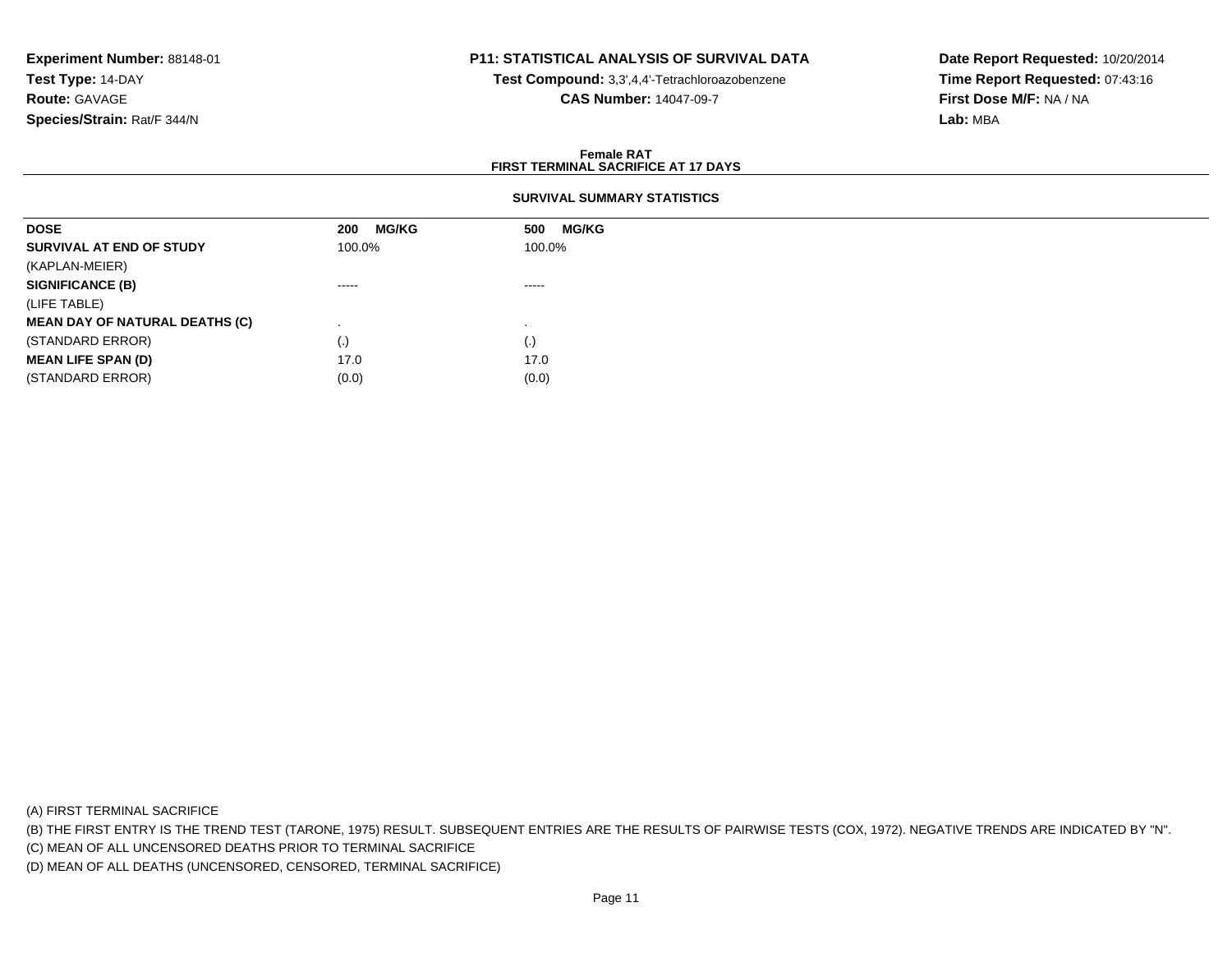# **P11: STATISTICAL ANALYSIS OF SURVIVAL DATA**

**Test Compound:** 3,3',4,4'-Tetrachloroazobenzene

**CAS Number:** 14047-09-7

**Date Report Requested:** 10/20/2014**Time Report Requested:** 07:43:16**First Dose M/F:** NA / NA**Lab:** MBA

### **Female RATFIRST TERMINAL SACRIFICE AT 17 DAYS**

## **SURVIVAL SUMMARY STATISTICS**

| <b>DOSE</b>                           | <b>MG/KG</b><br>200                                                                                                                                                                                                                                                                                                                                                                                                                                                                    | <b>MG/KG</b><br>500                                                                                                                                                                                                                                                                                                                                                                                                                                                                    |
|---------------------------------------|----------------------------------------------------------------------------------------------------------------------------------------------------------------------------------------------------------------------------------------------------------------------------------------------------------------------------------------------------------------------------------------------------------------------------------------------------------------------------------------|----------------------------------------------------------------------------------------------------------------------------------------------------------------------------------------------------------------------------------------------------------------------------------------------------------------------------------------------------------------------------------------------------------------------------------------------------------------------------------------|
| SURVIVAL AT END OF STUDY              | 100.0%                                                                                                                                                                                                                                                                                                                                                                                                                                                                                 | 100.0%                                                                                                                                                                                                                                                                                                                                                                                                                                                                                 |
| (KAPLAN-MEIER)                        |                                                                                                                                                                                                                                                                                                                                                                                                                                                                                        |                                                                                                                                                                                                                                                                                                                                                                                                                                                                                        |
| <b>SIGNIFICANCE (B)</b>               | $\begin{array}{cccccccccccccc} \multicolumn{2}{c}{} & \multicolumn{2}{c}{} & \multicolumn{2}{c}{} & \multicolumn{2}{c}{} & \multicolumn{2}{c}{} & \multicolumn{2}{c}{} & \multicolumn{2}{c}{} & \multicolumn{2}{c}{} & \multicolumn{2}{c}{} & \multicolumn{2}{c}{} & \multicolumn{2}{c}{} & \multicolumn{2}{c}{} & \multicolumn{2}{c}{} & \multicolumn{2}{c}{} & \multicolumn{2}{c}{} & \multicolumn{2}{c}{} & \multicolumn{2}{c}{} & \multicolumn{2}{c}{} & \multicolumn{2}{c}{} & \$ | $\begin{array}{cccccccccccccc} \multicolumn{2}{c}{} & \multicolumn{2}{c}{} & \multicolumn{2}{c}{} & \multicolumn{2}{c}{} & \multicolumn{2}{c}{} & \multicolumn{2}{c}{} & \multicolumn{2}{c}{} & \multicolumn{2}{c}{} & \multicolumn{2}{c}{} & \multicolumn{2}{c}{} & \multicolumn{2}{c}{} & \multicolumn{2}{c}{} & \multicolumn{2}{c}{} & \multicolumn{2}{c}{} & \multicolumn{2}{c}{} & \multicolumn{2}{c}{} & \multicolumn{2}{c}{} & \multicolumn{2}{c}{} & \multicolumn{2}{c}{} & \$ |
| (LIFE TABLE)                          |                                                                                                                                                                                                                                                                                                                                                                                                                                                                                        |                                                                                                                                                                                                                                                                                                                                                                                                                                                                                        |
| <b>MEAN DAY OF NATURAL DEATHS (C)</b> |                                                                                                                                                                                                                                                                                                                                                                                                                                                                                        |                                                                                                                                                                                                                                                                                                                                                                                                                                                                                        |
| (STANDARD ERROR)                      | $\left( . \right)$                                                                                                                                                                                                                                                                                                                                                                                                                                                                     | (.)                                                                                                                                                                                                                                                                                                                                                                                                                                                                                    |
| <b>MEAN LIFE SPAN (D)</b>             | 17.0                                                                                                                                                                                                                                                                                                                                                                                                                                                                                   | 17.0                                                                                                                                                                                                                                                                                                                                                                                                                                                                                   |
| (STANDARD ERROR)                      | (0.0)                                                                                                                                                                                                                                                                                                                                                                                                                                                                                  | (0.0)                                                                                                                                                                                                                                                                                                                                                                                                                                                                                  |

(A) FIRST TERMINAL SACRIFICE

(B) THE FIRST ENTRY IS THE TREND TEST (TARONE, 1975) RESULT. SUBSEQUENT ENTRIES ARE THE RESULTS OF PAIRWISE TESTS (COX, 1972). NEGATIVE TRENDS ARE INDICATED BY "N".

(C) MEAN OF ALL UNCENSORED DEATHS PRIOR TO TERMINAL SACRIFICE